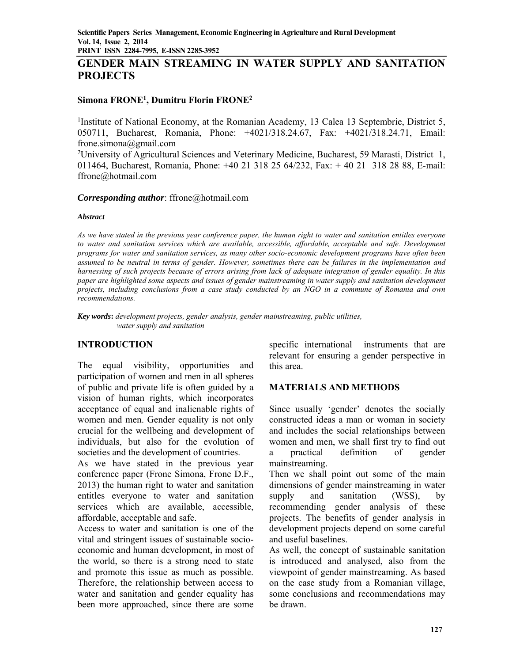# **GENDER MAIN STREAMING IN WATER SUPPLY AND SANITATION PROJECTS**

#### **Simona FRONE1, Dumitru Florin FRONE2**

<sup>1</sup>Institute of National Economy, at the Romanian Academy, 13 Calea 13 Septembrie, District 5, 050711, Bucharest, Romania, Phone: +4021/318.24.67, Fax: +4021/318.24.71, Email: frone.simona@gmail.com

2University of Agricultural Sciences and Veterinary Medicine, Bucharest, 59 Marasti, District 1, 011464, Bucharest, Romania, Phone: +40 21 318 25 64/232, Fax: + 40 21 318 28 88, E-mail: ffrone@hotmail.com

#### *Corresponding author*: ffrone@hotmail.com

#### *Abstract*

*As we have stated in the previous year conference paper, the human right to water and sanitation entitles everyone to water and sanitation services which are available, accessible, affordable, acceptable and safe. Development programs for water and sanitation services, as many other socio-economic development programs have often been assumed to be neutral in terms of gender. However, sometimes there can be failures in the implementation and harnessing of such projects because of errors arising from lack of adequate integration of gender equality. In this paper are highlighted some aspects and issues of gender mainstreaming in water supply and sanitation development projects, including conclusions from a case study conducted by an NGO in a commune of Romania and own recommendations.* 

*Key words***:** *development projects, gender analysis, gender mainstreaming, public utilities, water supply and sanitation* 

### **INTRODUCTION**

The equal visibility, opportunities and participation of women and men in all spheres of public and private life is often guided by a vision of human rights, which incorporates acceptance of equal and inalienable rights of women and men. Gender equality is not only crucial for the wellbeing and development of individuals, but also for the evolution of societies and the development of countries.

As we have stated in the previous year conference paper (Frone Simona, Frone D.F., 2013) the human right to water and sanitation entitles everyone to water and sanitation services which are available, accessible, affordable, acceptable and safe.

Access to water and sanitation is one of the vital and stringent issues of sustainable socioeconomic and human development, in most of the world, so there is a strong need to state and promote this issue as much as possible. Therefore, the relationship between access to water and sanitation and gender equality has been more approached, since there are some

specific international instruments that are relevant for ensuring a gender perspective in this area.

### **MATERIALS AND METHODS**

Since usually 'gender' denotes the socially constructed ideas a man or woman in society and includes the social relationships between women and men, we shall first try to find out a practical definition of gender mainstreaming.

Then we shall point out some of the main dimensions of gender mainstreaming in water supply and sanitation (WSS), by recommending gender analysis of these projects. The benefits of gender analysis in development projects depend on some careful and useful baselines.

As well, the concept of sustainable sanitation is introduced and analysed, also from the viewpoint of gender mainstreaming. As based on the case study from a Romanian village, some conclusions and recommendations may be drawn.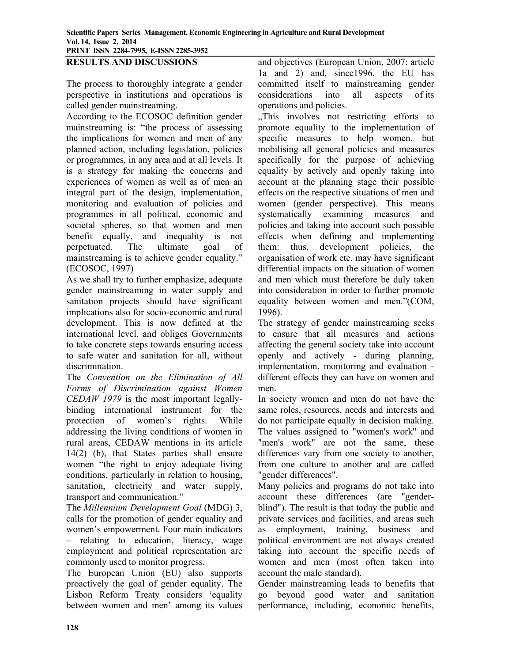#### **RESULTS AND DISCUSSIONS**

The process to thoroughly integrate a gender perspective in institutions and operations is called gender mainstreaming.

According to the ECOSOC definition gender mainstreaming is: "the process of assessing the implications for women and men of any planned action, including legislation, policies or programmes, in any area and at all levels. It is a strategy for making the concerns and experiences of women as well as of men an integral part of the design, implementation, monitoring and evaluation of policies and programmes in all political, economic and societal spheres, so that women and men benefit equally, and inequality is not perpetuated. The ultimate goal of mainstreaming is to achieve gender equality." (ECOSOC, 1997)

As we shall try to further emphasize, adequate gender mainstreaming in water supply and sanitation projects should have significant implications also for socio-economic and rural development. This is now defined at the international level, and obliges Governments to take concrete steps towards ensuring access to safe water and sanitation for all, without discrimination.

The *Convention on the Elimination of All Forms of Discrimination against Women CEDAW 1979* is the most important legallybinding international instrument for the protection of women's rights. While addressing the living conditions of women in rural areas, CEDAW mentions in its article 14(2) (h), that States parties shall ensure women "the right to enjoy adequate living conditions, particularly in relation to housing, sanitation, electricity and water supply, transport and communication."

The *Millennium Development Goal* (MDG) 3, calls for the promotion of gender equality and women's empowerment. Four main indicators – relating to education, literacy, wage employment and political representation are commonly used to monitor progress.

The European Union (EU) also supports proactively the goal of gender equality. The Lisbon Reform Treaty considers 'equality between women and men' among its values and objectives (European Union, 2007: article 1a and 2) and, since1996, the EU has committed itself to mainstreaming gender considerations into all aspects of its operations and policies.

"This involves not restricting efforts to promote equality to the implementation of specific measures to help women, but mobilising all general policies and measures specifically for the purpose of achieving equality by actively and openly taking into account at the planning stage their possible effects on the respective situations of men and women (gender perspective). This means systematically examining measures and policies and taking into account such possible effects when defining and implementing them: thus, development policies, the organisation of work etc. may have significant differential impacts on the situation of women and men which must therefore be duly taken into consideration in order to further promote equality between women and men."(COM, 1996).

The strategy of gender mainstreaming seeks to ensure that all measures and actions affecting the general society take into account openly and actively - during planning, implementation, monitoring and evaluation different effects they can have on women and men.

In society women and men do not have the same roles, resources, needs and interests and do not participate equally in decision making. The values assigned to "women's work" and "men's work" are not the same, these differences vary from one society to another, from one culture to another and are called "gender differences".

Many policies and programs do not take into account these differences (are "genderblind"). The result is that today the public and private services and facilities, and areas such as employment, training, business and political environment are not always created taking into account the specific needs of women and men (most often taken into account the male standard).

Gender mainstreaming leads to benefits that go beyond good water and sanitation performance, including, economic benefits,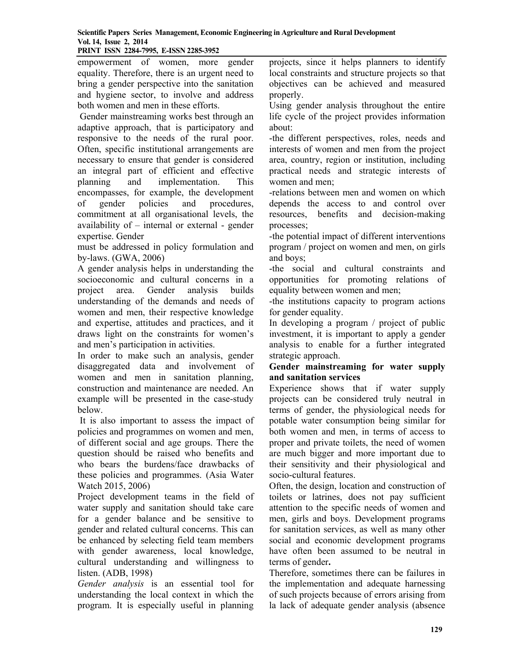empowerment of women, more gender equality. Therefore, there is an urgent need to bring a gender perspective into the sanitation and hygiene sector, to involve and address both women and men in these efforts.

 Gender mainstreaming works best through an adaptive approach, that is participatory and responsive to the needs of the rural poor. Often, specific institutional arrangements are necessary to ensure that gender is considered an integral part of efficient and effective planning and implementation. This encompasses, for example, the development of gender policies and procedures, commitment at all organisational levels, the availability of – internal or external - gender expertise. Gender

must be addressed in policy formulation and by-laws. (GWA, 2006)

A gender analysis helps in understanding the socioeconomic and cultural concerns in a project area. Gender analysis builds understanding of the demands and needs of women and men, their respective knowledge and expertise, attitudes and practices, and it draws light on the constraints for women's and men's participation in activities.

In order to make such an analysis, gender disaggregated data and involvement of women and men in sanitation planning, construction and maintenance are needed. An example will be presented in the case-study below.

 It is also important to assess the impact of policies and programmes on women and men, of different social and age groups. There the question should be raised who benefits and who bears the burdens/face drawbacks of these policies and programmes. (Asia Water Watch 2015, 2006)

Project development teams in the field of water supply and sanitation should take care for a gender balance and be sensitive to gender and related cultural concerns. This can be enhanced by selecting field team members with gender awareness, local knowledge, cultural understanding and willingness to listen. (ADB, 1998)

*Gender analysis* is an essential tool for understanding the local context in which the program. It is especially useful in planning projects, since it helps planners to identify local constraints and structure projects so that objectives can be achieved and measured properly.

Using gender analysis throughout the entire life cycle of the project provides information about:

-the different perspectives, roles, needs and interests of women and men from the project area, country, region or institution, including practical needs and strategic interests of women and men;

-relations between men and women on which depends the access to and control over resources, benefits and decision-making processes;

-the potential impact of different interventions program / project on women and men, on girls and boys;

-the social and cultural constraints and opportunities for promoting relations of equality between women and men;

-the institutions capacity to program actions for gender equality.

In developing a program / project of public investment, it is important to apply a gender analysis to enable for a further integrated strategic approach.

### **Gender mainstreaming for water supply and sanitation services**

Experience shows that if water supply projects can be considered truly neutral in terms of gender, the physiological needs for potable water consumption being similar for both women and men, in terms of access to proper and private toilets, the need of women are much bigger and more important due to their sensitivity and their physiological and socio-cultural features.

Often, the design, location and construction of toilets or latrines, does not pay sufficient attention to the specific needs of women and men, girls and boys. Development programs for sanitation services, as well as many other social and economic development programs have often been assumed to be neutral in terms of gender**.**

Therefore, sometimes there can be failures in the implementation and adequate harnessing of such projects because of errors arising from la lack of adequate gender analysis (absence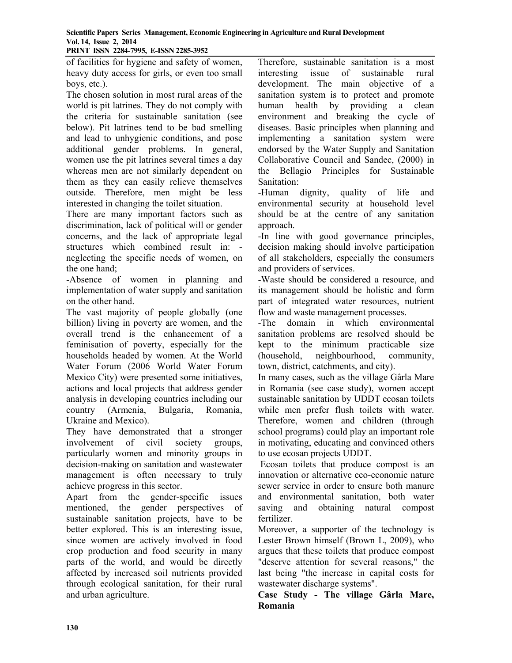of facilities for hygiene and safety of women, heavy duty access for girls, or even too small boys, etc.).

The chosen solution in most rural areas of the world is pit latrines. They do not comply with the criteria for sustainable sanitation (see below). Pit latrines tend to be bad smelling and lead to unhygienic conditions, and pose additional gender problems. In general, women use the pit latrines several times a day whereas men are not similarly dependent on them as they can easily relieve themselves outside. Therefore, men might be less interested in changing the toilet situation.

There are many important factors such as discrimination, lack of political will or gender concerns, and the lack of appropriate legal structures which combined result in: neglecting the specific needs of women, on the one hand;

-Absence of women in planning and implementation of water supply and sanitation on the other hand.

The vast majority of people globally (one billion) living in poverty are women, and the overall trend is the enhancement of a feminisation of poverty, especially for the households headed by women. At the World Water Forum (2006 World Water Forum Mexico City) were presented some initiatives, actions and local projects that address gender analysis in developing countries including our country (Armenia, Bulgaria, Romania, Ukraine and Mexico).

They have demonstrated that a stronger involvement of civil society groups, particularly women and minority groups in decision-making on sanitation and wastewater management is often necessary to truly achieve progress in this sector.

Apart from the gender-specific issues mentioned, the gender perspectives of sustainable sanitation projects, have to be better explored. This is an interesting issue, since women are actively involved in food crop production and food security in many parts of the world, and would be directly affected by increased soil nutrients provided through ecological sanitation, for their rural and urban agriculture.

Therefore, sustainable sanitation is a most interesting issue of sustainable rural development. The main objective of a sanitation system is to protect and promote human health by providing a clean environment and breaking the cycle of diseases. Basic principles when planning and implementing a sanitation system were endorsed by the Water Supply and Sanitation Collaborative Council and Sandec, (2000) in the Bellagio Principles for Sustainable Sanitation:

-Human dignity, quality of life and environmental security at household level should be at the centre of any sanitation approach.

-In line with good governance principles, decision making should involve participation of all stakeholders, especially the consumers and providers of services.

-Waste should be considered a resource, and its management should be holistic and form part of integrated water resources, nutrient flow and waste management processes.

-The domain in which environmental sanitation problems are resolved should be kept to the minimum practicable size (household, neighbourhood, community, town, district, catchments, and city).

In many cases, such as the village Gârla Mare in Romania (see case study), women accept sustainable sanitation by UDDT ecosan toilets while men prefer flush toilets with water. Therefore, women and children (through school programs) could play an important role in motivating, educating and convinced others to use ecosan projects UDDT.

 Ecosan toilets that produce compost is an innovation or alternative eco-economic nature sewer service in order to ensure both manure and environmental sanitation, both water saving and obtaining natural compost fertilizer.

Moreover, a supporter of the technology is Lester Brown himself (Brown L, 2009), who argues that these toilets that produce compost "deserve attention for several reasons," the last being "the increase in capital costs for wastewater discharge systems".

**Case Study - The village Gârla Mare, Romania**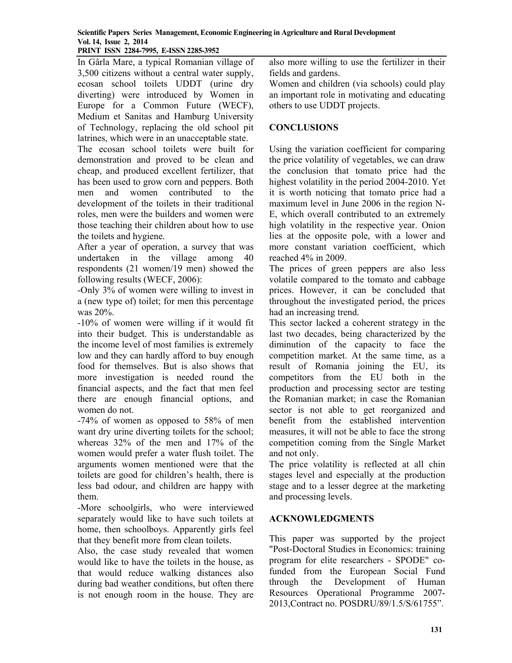In Gârla Mare, a typical Romanian village of 3,500 citizens without a central water supply, ecosan school toilets UDDT (urine dry diverting) were introduced by Women in Europe for a Common Future (WECF), Medium et Sanitas and Hamburg University of Technology, replacing the old school pit latrines, which were in an unacceptable state.

The ecosan school toilets were built for demonstration and proved to be clean and cheap, and produced excellent fertilizer, that has been used to grow corn and peppers. Both men and women contributed to the development of the toilets in their traditional roles, men were the builders and women were those teaching their children about how to use the toilets and hygiene.

After a year of operation, a survey that was undertaken in the village among 40 respondents (21 women/19 men) showed the following results (WECF, 2006):

-Only 3% of women were willing to invest in a (new type of) toilet; for men this percentage was 20%.

-10% of women were willing if it would fit into their budget. This is understandable as the income level of most families is extremely low and they can hardly afford to buy enough food for themselves. But is also shows that more investigation is needed round the financial aspects, and the fact that men feel there are enough financial options, and women do not.

-74% of women as opposed to 58% of men want dry urine diverting toilets for the school; whereas 32% of the men and 17% of the women would prefer a water flush toilet. The arguments women mentioned were that the toilets are good for children's health, there is less bad odour, and children are happy with them.

-More schoolgirls, who were interviewed separately would like to have such toilets at home, then schoolboys. Apparently girls feel that they benefit more from clean toilets.

Also, the case study revealed that women would like to have the toilets in the house, as that would reduce walking distances also during bad weather conditions, but often there is not enough room in the house. They are

also more willing to use the fertilizer in their fields and gardens.

Women and children (via schools) could play an important role in motivating and educating others to use UDDT projects.

## **CONCLUSIONS**

Using the variation coefficient for comparing the price volatility of vegetables, we can draw the conclusion that tomato price had the highest volatility in the period 2004-2010. Yet it is worth noticing that tomato price had a maximum level in June 2006 in the region N-E, which overall contributed to an extremely high volatility in the respective year. Onion lies at the opposite pole, with a lower and more constant variation coefficient, which reached 4% in 2009.

The prices of green peppers are also less volatile compared to the tomato and cabbage prices. However, it can be concluded that throughout the investigated period, the prices had an increasing trend.

This sector lacked a coherent strategy in the last two decades, being characterized by the diminution of the capacity to face the competition market. At the same time, as a result of Romania joining the EU, its competitors from the EU both in the production and processing sector are testing the Romanian market; in case the Romanian sector is not able to get reorganized and benefit from the established intervention measures, it will not be able to face the strong competition coming from the Single Market and not only.

The price volatility is reflected at all chin stages level and especially at the production stage and to a lesser degree at the marketing and processing levels.

### **ACKNOWLEDGMENTS**

This paper was supported by the project "Post-Doctoral Studies in Economics: training program for elite researchers - SPODE" cofunded from the European Social Fund through the Development of Human Resources Operational Programme 2007- 2013,Contract no. POSDRU/89/1.5/S/61755".